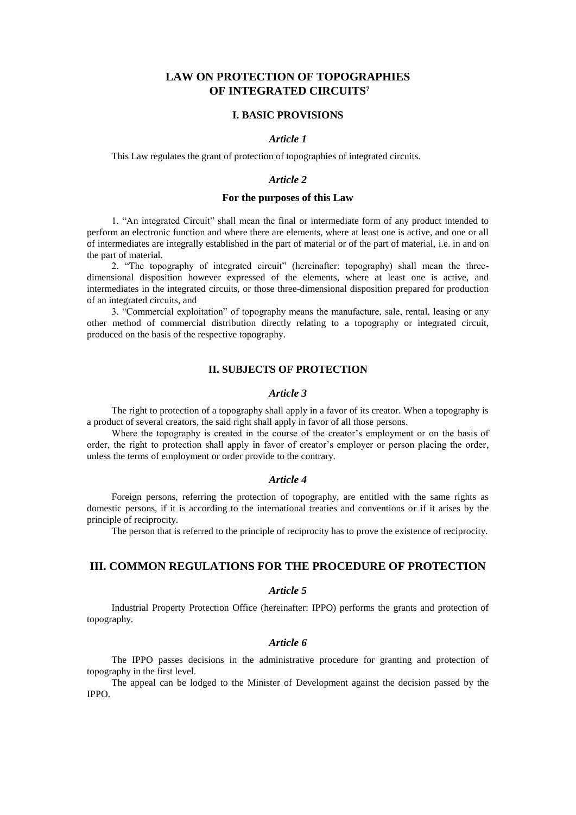# **LAW ON PROTECTION OF TOPOGRAPHIES OF INTEGRATED CIRCUITS<sup>7</sup>**

## **I. BASIC PROVISIONS**

### *Article 1*

This Law regulates the grant of protection of topographies of integrated circuits.

### *Article 2*

# **For the purposes of this Law**

1. "An integrated Circuit" shall mean the final or intermediate form of any product intended to perform an electronic function and where there are elements, where at least one is active, and one or all of intermediates are integrally established in the part of material or of the part of material, i.e. in and on the part of material.

2. "The topography of integrated circuit" (hereinafter: topography) shall mean the threedimensional disposition however expressed of the elements, where at least one is active, and intermediates in the integrated circuits, or those three-dimensional disposition prepared for production of an integrated circuits, and

3. "Commercial exploitation" of topography means the manufacture, sale, rental, leasing or any other method of commercial distribution directly relating to a topography or integrated circuit, produced on the basis of the respective topography.

## **II. SUBJECTS OF PROTECTION**

### *Article 3*

The right to protection of a topography shall apply in a favor of its creator. When a topography is a product of several creators, the said right shall apply in favor of all those persons.

Where the topography is created in the course of the creator's employment or on the basis of order, the right to protection shall apply in favor of creator's employer or person placing the order, unless the terms of employment or order provide to the contrary.

#### *Article 4*

Foreign persons, referring the protection of topography, are entitled with the same rights as domestic persons, if it is according to the international treaties and conventions or if it arises by the principle of reciprocity.

The person that is referred to the principle of reciprocity has to prove the existence of reciprocity.

# **III. COMMON REGULATIONS FOR THE PROCEDURE OF PROTECTION**

## *Article 5*

Industrial Property Protection Office (hereinafter: IPPO) performs the grants and protection of topography.

## *Article 6*

The IPPO passes decisions in the administrative procedure for granting and protection of topography in the first level.

The appeal can be lodged to the Minister of Development against the decision passed by the IPPO.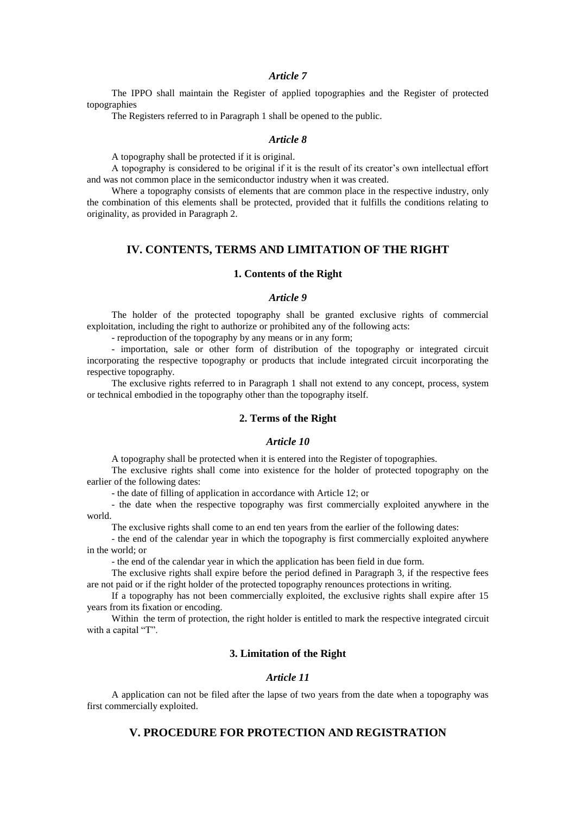### *Article 7*

The IPPO shall maintain the Register of applied topographies and the Register of protected topographies

The Registers referred to in Paragraph 1 shall be opened to the public.

### *Article 8*

A topography shall be protected if it is original.

A topography is considered to be original if it is the result of its creator's own intellectual effort and was not common place in the semiconductor industry when it was created.

Where a topography consists of elements that are common place in the respective industry, only the combination of this elements shall be protected, provided that it fulfills the conditions relating to originality, as provided in Paragraph 2.

# **IV. CONTENTS, TERMS AND LIMITATION OF THE RIGHT**

### **1. Contents of the Right**

## *Article 9*

The holder of the protected topography shall be granted exclusive rights of commercial exploitation, including the right to authorize or prohibited any of the following acts:

- reproduction of the topography by any means or in any form;

- importation, sale or other form of distribution of the topography or integrated circuit incorporating the respective topography or products that include integrated circuit incorporating the respective topography.

The exclusive rights referred to in Paragraph 1 shall not extend to any concept, process, system or technical embodied in the topography other than the topography itself.

## **2. Terms of the Right**

# *Article 10*

A topography shall be protected when it is entered into the Register of topographies.

The exclusive rights shall come into existence for the holder of protected topography on the earlier of the following dates:

- the date of filling of application in accordance with Article 12; or

- the date when the respective topography was first commercially exploited anywhere in the world.

The exclusive rights shall come to an end ten years from the earlier of the following dates:

- the end of the calendar year in which the topography is first commercially exploited anywhere in the world; or

- the end of the calendar year in which the application has been field in due form.

The exclusive rights shall expire before the period defined in Paragraph 3, if the respective fees are not paid or if the right holder of the protected topography renounces protections in writing.

If a topography has not been commercially exploited, the exclusive rights shall expire after 15 years from its fixation or encoding.

Within the term of protection, the right holder is entitled to mark the respective integrated circuit with a capital "T".

# **3. Limitation of the Right**

# *Article 11*

A application can not be filed after the lapse of two years from the date when a topography was first commercially exploited.

# **V. PROCEDURE FOR PROTECTION AND REGISTRATION**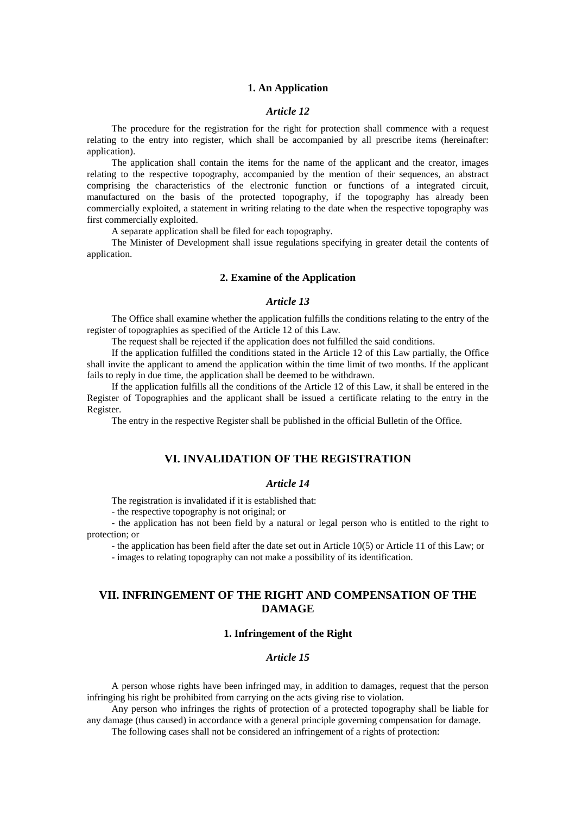## **1. An Application**

# *Article 12*

The procedure for the registration for the right for protection shall commence with a request relating to the entry into register, which shall be accompanied by all prescribe items (hereinafter: application).

The application shall contain the items for the name of the applicant and the creator, images relating to the respective topography, accompanied by the mention of their sequences, an abstract comprising the characteristics of the electronic function or functions of a integrated circuit, manufactured on the basis of the protected topography, if the topography has already been commercially exploited, a statement in writing relating to the date when the respective topography was first commercially exploited.

A separate application shall be filed for each topography.

The Minister of Development shall issue regulations specifying in greater detail the contents of application.

### **2. Examine of the Application**

### *Article 13*

The Office shall examine whether the application fulfills the conditions relating to the entry of the register of topographies as specified of the Article 12 of this Law.

The request shall be rejected if the application does not fulfilled the said conditions.

If the application fulfilled the conditions stated in the Article 12 of this Law partially, the Office shall invite the applicant to amend the application within the time limit of two months. If the applicant fails to reply in due time, the application shall be deemed to be withdrawn.

If the application fulfills all the conditions of the Article 12 of this Law, it shall be entered in the Register of Topographies and the applicant shall be issued a certificate relating to the entry in the Register.

The entry in the respective Register shall be published in the official Bulletin of the Office.

## **VI. INVALIDATION OF THE REGISTRATION**

## *Article 14*

The registration is invalidated if it is established that:

- the respective topography is not original; or

- the application has not been field by a natural or legal person who is entitled to the right to protection; or

- the application has been field after the date set out in Article 10(5) or Article 11 of this Law; or

- images to relating topography can not make a possibility of its identification.

# **VII. INFRINGEMENT OF THE RIGHT AND COMPENSATION OF THE DAMAGE**

# **1. Infringement of the Right**

### *Article 15*

A person whose rights have been infringed may, in addition to damages, request that the person infringing his right be prohibited from carrying on the acts giving rise to violation.

Any person who infringes the rights of protection of a protected topography shall be liable for any damage (thus caused) in accordance with a general principle governing compensation for damage.

The following cases shall not be considered an infringement of a rights of protection: